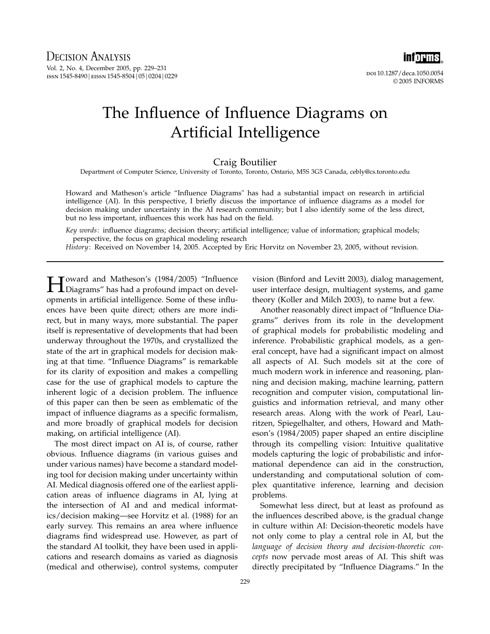

doi 10.1287/deca.1050.0054 © 2005 INFORMS

## The Influence of Influence Diagrams on Artificial Intelligence

## Craig Boutilier

Department of Computer Science, University of Toronto, Toronto, Ontario, M5S 3G5 Canada, cebly@cs.toronto.edu

Howard and Matheson's article "Influence Diagrams" has had a substantial impact on research in artificial intelligence (AI). In this perspective, I briefly discuss the importance of influence diagrams as a model for decision making under uncertainty in the AI research community; but I also identify some of the less direct, but no less important, influences this work has had on the field.

Key words: influence diagrams; decision theory; artificial intelligence; value of information; graphical models; perspective, the focus on graphical modeling research

History: Received on November 14, 2005. Accepted by Eric Horvitz on November 23, 2005, without revision.

Howard and Matheson's (1984/2005) "Influence Diagrams" has had a profound impact on developments in artificial intelligence. Some of these influences have been quite direct; others are more indirect, but in many ways, more substantial. The paper itself is representative of developments that had been underway throughout the 1970s, and crystallized the state of the art in graphical models for decision making at that time. "Influence Diagrams" is remarkable for its clarity of exposition and makes a compelling case for the use of graphical models to capture the inherent logic of a decision problem. The influence of this paper can then be seen as emblematic of the impact of influence diagrams as a specific formalism, and more broadly of graphical models for decision making, on artificial intelligence (AI).

The most direct impact on AI is, of course, rather obvious. Influence diagrams (in various guises and under various names) have become a standard modeling tool for decision making under uncertainty within AI. Medical diagnosis offered one of the earliest application areas of influence diagrams in AI, lying at the intersection of AI and and medical informatics/decision making—see Horvitz et al. (1988) for an early survey. This remains an area where influence diagrams find widespread use. However, as part of the standard AI toolkit, they have been used in applications and research domains as varied as diagnosis (medical and otherwise), control systems, computer

vision (Binford and Levitt 2003), dialog management, user interface design, multiagent systems, and game theory (Koller and Milch 2003), to name but a few.

Another reasonably direct impact of "Influence Diagrams" derives from its role in the development of graphical models for probabilistic modeling and inference. Probabilistic graphical models, as a general concept, have had a significant impact on almost all aspects of AI. Such models sit at the core of much modern work in inference and reasoning, planning and decision making, machine learning, pattern recognition and computer vision, computational linguistics and information retrieval, and many other research areas. Along with the work of Pearl, Lauritzen, Spiegelhalter, and others, Howard and Matheson's (1984/2005) paper shaped an entire discipline through its compelling vision: Intuitive qualitative models capturing the logic of probabilistic and informational dependence can aid in the construction, understanding and computational solution of complex quantitative inference, learning and decision problems.

Somewhat less direct, but at least as profound as the influences described above, is the gradual change in culture within AI: Decision-theoretic models have not only come to play a central role in AI, but the language of decision theory and decision-theoretic concepts now pervade most areas of AI. This shift was directly precipitated by "Influence Diagrams." In the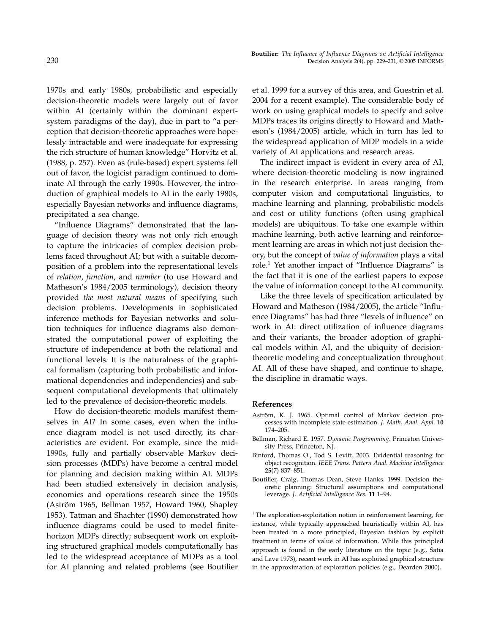1970s and early 1980s, probabilistic and especially decision-theoretic models were largely out of favor within AI (certainly within the dominant expertsystem paradigms of the day), due in part to "a perception that decision-theoretic approaches were hopelessly intractable and were inadequate for expressing the rich structure of human knowledge" Horvitz et al. (1988, p. 257). Even as (rule-based) expert systems fell out of favor, the logicist paradigm continued to dominate AI through the early 1990s. However, the introduction of graphical models to AI in the early 1980s, especially Bayesian networks and influence diagrams, precipitated a sea change.

"Influence Diagrams" demonstrated that the language of decision theory was not only rich enough to capture the intricacies of complex decision problems faced throughout AI; but with a suitable decomposition of a problem into the representational levels of relation, function, and number (to use Howard and Matheson's 1984/2005 terminology), decision theory provided the most natural means of specifying such decision problems. Developments in sophisticated inference methods for Bayesian networks and solution techniques for influence diagrams also demonstrated the computational power of exploiting the structure of independence at both the relational and functional levels. It is the naturalness of the graphical formalism (capturing both probabilistic and informational dependencies and independencies) and subsequent computational developments that ultimately led to the prevalence of decision-theoretic models.

How do decision-theoretic models manifest themselves in AI? In some cases, even when the influence diagram model is not used directly, its characteristics are evident. For example, since the mid-1990s, fully and partially observable Markov decision processes (MDPs) have become a central model for planning and decision making within AI. MDPs had been studied extensively in decision analysis, economics and operations research since the 1950s (Aström 1965, Bellman 1957, Howard 1960, Shapley 1953). Tatman and Shachter (1990) demonstrated how influence diagrams could be used to model finitehorizon MDPs directly; subsequent work on exploiting structured graphical models computationally has led to the widespread acceptance of MDPs as a tool for AI planning and related problems (see Boutilier

et al. 1999 for a survey of this area, and Guestrin et al. 2004 for a recent example). The considerable body of work on using graphical models to specify and solve MDPs traces its origins directly to Howard and Matheson's (1984/2005) article, which in turn has led to the widespread application of MDP models in a wide variety of AI applications and research areas.

The indirect impact is evident in every area of AI, where decision-theoretic modeling is now ingrained in the research enterprise. In areas ranging from computer vision and computational linguistics, to machine learning and planning, probabilistic models and cost or utility functions (often using graphical models) are ubiquitous. To take one example within machine learning, both active learning and reinforcement learning are areas in which not just decision theory, but the concept of value of information plays a vital role.<sup>1</sup> Yet another impact of "Influence Diagrams" is the fact that it is one of the earliest papers to expose the value of information concept to the AI community.

Like the three levels of specification articulated by Howard and Matheson (1984/2005), the article "Influence Diagrams" has had three "levels of influence" on work in AI: direct utilization of influence diagrams and their variants, the broader adoption of graphical models within AI, and the ubiquity of decisiontheoretic modeling and conceptualization throughout AI. All of these have shaped, and continue to shape, the discipline in dramatic ways.

## References

- Aström, K. J. 1965. Optimal control of Markov decision processes with incomplete state estimation. J. Math. Anal. Appl. 10 174–205.
- Bellman, Richard E. 1957. Dynamic Programming. Princeton University Press, Princeton, NJ.
- Binford, Thomas O., Tod S. Levitt. 2003. Evidential reasoning for object recognition. IEEE Trans. Pattern Anal. Machine Intelligence 25(7) 837–851.
- Boutilier, Craig, Thomas Dean, Steve Hanks. 1999. Decision theoretic planning: Structural assumptions and computational leverage. J. Artificial Intelligence Res. 11 1-94.

<sup>1</sup> The exploration-exploitation notion in reinforcement learning, for instance, while typically approached heuristically within AI, has been treated in a more principled, Bayesian fashion by explicit treatment in terms of value of information. While this principled approach is found in the early literature on the topic (e.g., Satia and Lave 1973), recent work in AI has exploited graphical structure in the approximation of exploration policies (e.g., Dearden 2000).